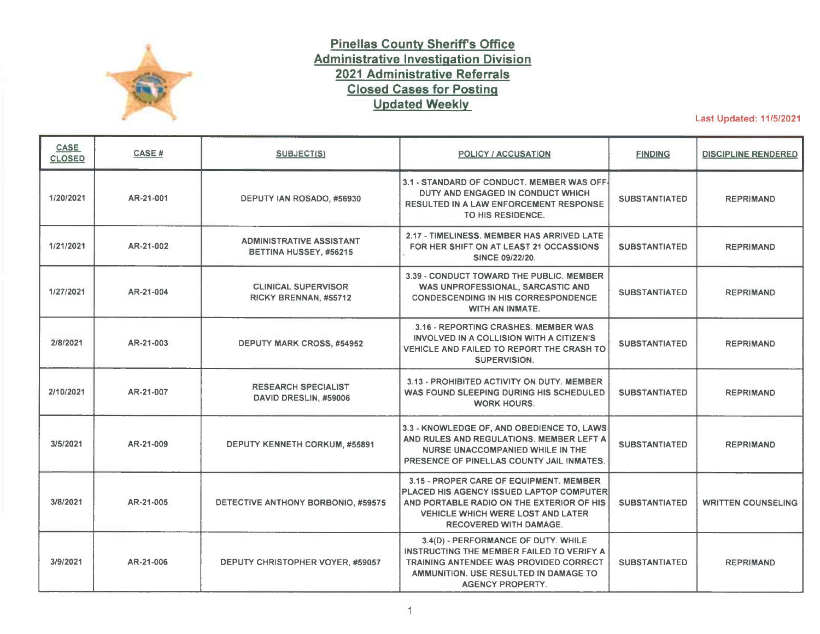

## **Pinellas County Sheriffs Office Administrative Investigation Division 2021 Administrative Referrals Closed Cases for Posting Updated Weekly**

Last Updated: 11/5/2021

| <b>CASE</b><br><b>CLOSED</b> | CASE#     | <b>SUBJECT(S)</b>                                         | <b>POLICY / ACCUSATION</b>                                                                                                                                                                                    | <b>FINDING</b>       | <b>DISCIPLINE RENDERED</b> |
|------------------------------|-----------|-----------------------------------------------------------|---------------------------------------------------------------------------------------------------------------------------------------------------------------------------------------------------------------|----------------------|----------------------------|
| 1/20/2021                    | AR-21-001 | DEPUTY IAN ROSADO, #56930                                 | 3.1 - STANDARD OF CONDUCT, MEMBER WAS OFF-<br>DUTY AND ENGAGED IN CONDUCT WHICH<br>RESULTED IN A LAW ENFORCEMENT RESPONSE<br>TO HIS RESIDENCE.                                                                | <b>SUBSTANTIATED</b> | <b>REPRIMAND</b>           |
| 1/21/2021                    | AR-21-002 | <b>ADMINISTRATIVE ASSISTANT</b><br>BETTINA HUSSEY, #56215 | 2.17 - TIMELINESS. MEMBER HAS ARRIVED LATE<br>FOR HER SHIFT ON AT LEAST 21 OCCASSIONS<br><b>SINCE 09/22/20.</b>                                                                                               | <b>SUBSTANTIATED</b> | <b>REPRIMAND</b>           |
| 1/27/2021                    | AR-21-004 | <b>CLINICAL SUPERVISOR</b><br>RICKY BRENNAN, #55712       | 3.39 - CONDUCT TOWARD THE PUBLIC. MEMBER<br>WAS UNPROFESSIONAL, SARCASTIC AND<br><b>CONDESCENDING IN HIS CORRESPONDENCE</b><br><b>WITH AN INMATE.</b>                                                         | <b>SUBSTANTIATED</b> | <b>REPRIMAND</b>           |
| 2/8/2021                     | AR-21-003 | DEPUTY MARK CROSS, #54952                                 | 3.16 - REPORTING CRASHES, MEMBER WAS<br>INVOLVED IN A COLLISION WITH A CITIZEN'S<br>VEHICLE AND FAILED TO REPORT THE CRASH TO<br><b>SUPERVISION.</b>                                                          | <b>SUBSTANTIATED</b> | <b>REPRIMAND</b>           |
| 2/10/2021                    | AR-21-007 | <b>RESEARCH SPECIALIST</b><br>DAVID DRESLIN, #59006       | 3.13 - PROHIBITED ACTIVITY ON DUTY. MEMBER<br>WAS FOUND SLEEPING DURING HIS SCHEDULED<br><b>WORK HOURS.</b>                                                                                                   | <b>SUBSTANTIATED</b> | <b>REPRIMAND</b>           |
| 3/5/2021                     | AR-21-009 | <b>DEPUTY KENNETH CORKUM, #55891</b>                      | 3.3 - KNOWLEDGE OF, AND OBEDIENCE TO, LAWS<br>AND RULES AND REGULATIONS. MEMBER LEFT A<br><b>NURSE UNACCOMPANIED WHILE IN THE</b><br>PRESENCE OF PINELLAS COUNTY JAIL INMATES.                                | <b>SUBSTANTIATED</b> | <b>REPRIMAND</b>           |
| 3/8/2021                     | AR-21-005 | DETECTIVE ANTHONY BORBONIO, #59575                        | 3.15 - PROPER CARE OF EQUIPMENT. MEMBER<br>PLACED HIS AGENCY ISSUED LAPTOP COMPUTER<br>AND PORTABLE RADIO ON THE EXTERIOR OF HIS<br><b>VEHICLE WHICH WERE LOST AND LATER</b><br><b>RECOVERED WITH DAMAGE.</b> | <b>SUBSTANTIATED</b> | <b>WRITTEN COUNSELING</b>  |
| 3/9/2021                     | AR-21-006 | DEPUTY CHRISTOPHER VOYER, #59057                          | 3.4(D) - PERFORMANCE OF DUTY. WHILE<br>INSTRUCTING THE MEMBER FAILED TO VERIFY A<br><b>TRAINING ANTENDEE WAS PROVIDED CORRECT</b><br>AMMUNITION, USE RESULTED IN DAMAGE TO<br><b>AGENCY PROPERTY.</b>         | <b>SUBSTANTIATED</b> | <b>REPRIMAND</b>           |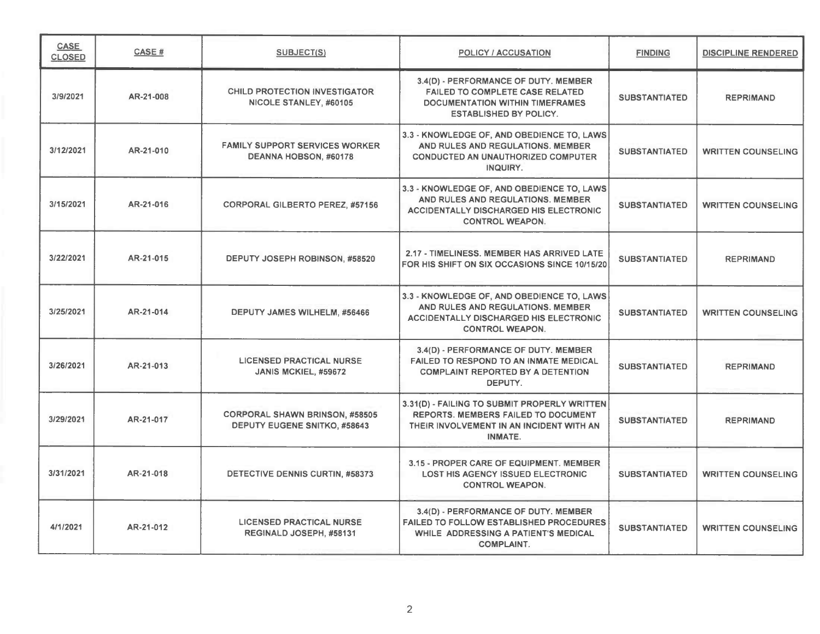| CASE<br><b>CLOSED</b> | CASE#     | SUBJECT(S)                                                                   | <b>POLICY / ACCUSATION</b>                                                                                                                                 | <b>FINDING</b>       | <b>DISCIPLINE RENDERED</b> |
|-----------------------|-----------|------------------------------------------------------------------------------|------------------------------------------------------------------------------------------------------------------------------------------------------------|----------------------|----------------------------|
| 3/9/2021              | AR-21-008 | <b>CHILD PROTECTION INVESTIGATOR</b><br>NICOLE STANLEY, #60105               | 3.4(D) - PERFORMANCE OF DUTY. MEMBER<br><b>FAILED TO COMPLETE CASE RELATED</b><br>DOCUMENTATION WITHIN TIMEFRAMES<br><b>ESTABLISHED BY POLICY.</b>         | <b>SUBSTANTIATED</b> | <b>REPRIMAND</b>           |
| 3/12/2021             | AR-21-010 | <b>FAMILY SUPPORT SERVICES WORKER</b><br>DEANNA HOBSON, #60178               | 3.3 - KNOWLEDGE OF, AND OBEDIENCE TO, LAWS<br>AND RULES AND REGULATIONS. MEMBER<br><b>CONDUCTED AN UNAUTHORIZED COMPUTER</b><br>INQUIRY.                   | <b>SUBSTANTIATED</b> | <b>WRITTEN COUNSELING</b>  |
| 3/15/2021             | AR-21-016 | <b>CORPORAL GILBERTO PEREZ, #57156</b>                                       | 3.3 - KNOWLEDGE OF, AND OBEDIENCE TO, LAWS<br>AND RULES AND REGULATIONS. MEMBER<br><b>ACCIDENTALLY DISCHARGED HIS ELECTRONIC</b><br><b>CONTROL WEAPON.</b> | <b>SUBSTANTIATED</b> | <b>WRITTEN COUNSELING</b>  |
| 3/22/2021             | AR-21-015 | DEPUTY JOSEPH ROBINSON, #58520                                               | 2.17 - TIMELINESS, MEMBER HAS ARRIVED LATE<br>FOR HIS SHIFT ON SIX OCCASIONS SINCE 10/15/20                                                                | <b>SUBSTANTIATED</b> | <b>REPRIMAND</b>           |
| 3/25/2021             | AR-21-014 | DEPUTY JAMES WILHELM, #56466                                                 | 3.3 - KNOWLEDGE OF, AND OBEDIENCE TO, LAWS<br>AND RULES AND REGULATIONS. MEMBER<br><b>ACCIDENTALLY DISCHARGED HIS ELECTRONIC</b><br><b>CONTROL WEAPON.</b> | <b>SUBSTANTIATED</b> | <b>WRITTEN COUNSELING</b>  |
| 3/26/2021             | AR-21-013 | <b>LICENSED PRACTICAL NURSE</b><br>JANIS MCKIEL, #59672                      | 3.4(D) - PERFORMANCE OF DUTY. MEMBER<br>FAILED TO RESPOND TO AN INMATE MEDICAL<br><b>COMPLAINT REPORTED BY A DETENTION</b><br>DEPUTY.                      | <b>SUBSTANTIATED</b> | <b>REPRIMAND</b>           |
| 3/29/2021             | AR-21-017 | <b>CORPORAL SHAWN BRINSON, #58505</b><br><b>DEPUTY EUGENE SNITKO, #58643</b> | 3.31(D) - FAILING TO SUBMIT PROPERLY WRITTEN<br>REPORTS. MEMBERS FAILED TO DOCUMENT<br>THEIR INVOLVEMENT IN AN INCIDENT WITH AN<br><b>INMATE.</b>          | <b>SUBSTANTIATED</b> | <b>REPRIMAND</b>           |
| 3/31/2021             | AR-21-018 | DETECTIVE DENNIS CURTIN, #58373                                              | 3.15 - PROPER CARE OF EQUIPMENT. MEMBER<br><b>LOST HIS AGENCY ISSUED ELECTRONIC</b><br><b>CONTROL WEAPON.</b>                                              | <b>SUBSTANTIATED</b> | <b>WRITTEN COUNSELING</b>  |
| 4/1/2021              | AR-21-012 | <b>LICENSED PRACTICAL NURSE</b><br>REGINALD JOSEPH, #58131                   | 3.4(D) - PERFORMANCE OF DUTY. MEMBER<br><b>FAILED TO FOLLOW ESTABLISHED PROCEDURES</b><br>WHILE ADDRESSING A PATIENT'S MEDICAL<br><b>COMPLAINT.</b>        | <b>SUBSTANTIATED</b> | <b>WRITTEN COUNSELING</b>  |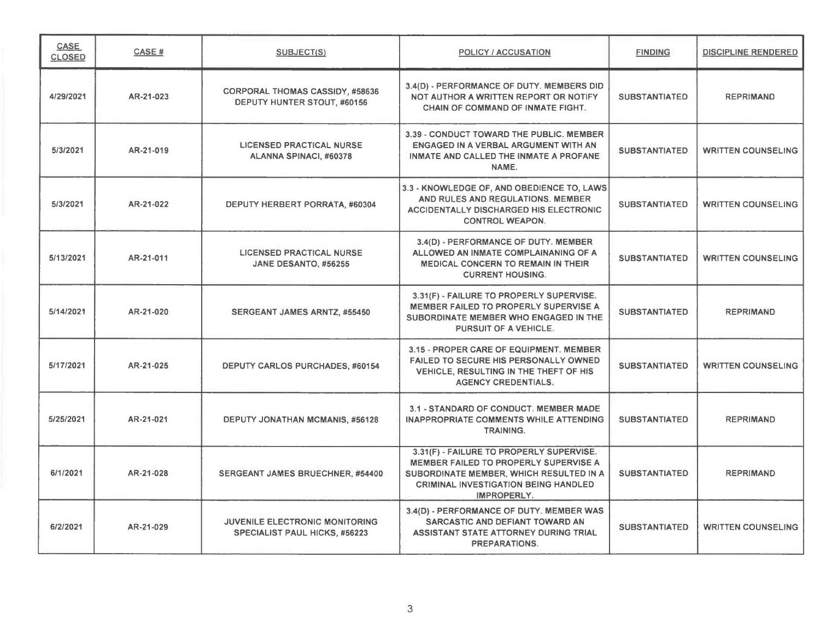| CASE<br><b>CLOSED</b> | CASE#     | <b>SUBJECT(S)</b>                                                             | POLICY / ACCUSATION                                                                                                                                                                        | <b>FINDING</b>       | <b>DISCIPLINE RENDERED</b> |
|-----------------------|-----------|-------------------------------------------------------------------------------|--------------------------------------------------------------------------------------------------------------------------------------------------------------------------------------------|----------------------|----------------------------|
| 4/29/2021             | AR-21-023 | <b>CORPORAL THOMAS CASSIDY, #58636</b><br>DEPUTY HUNTER STOUT, #60156         | 3.4(D) - PERFORMANCE OF DUTY. MEMBERS DID<br>NOT AUTHOR A WRITTEN REPORT OR NOTIFY<br><b>CHAIN OF COMMAND OF INMATE FIGHT.</b>                                                             | <b>SUBSTANTIATED</b> | <b>REPRIMAND</b>           |
| 5/3/2021              | AR-21-019 | <b>LICENSED PRACTICAL NURSE</b><br>ALANNA SPINACI, #60378                     | 3.39 - CONDUCT TOWARD THE PUBLIC. MEMBER<br>ENGAGED IN A VERBAL ARGUMENT WITH AN<br>INMATE AND CALLED THE INMATE A PROFANE<br>NAME.                                                        | <b>SUBSTANTIATED</b> | <b>WRITTEN COUNSELING</b>  |
| 5/3/2021              | AR-21-022 | DEPUTY HERBERT PORRATA, #60304                                                | 3.3 - KNOWLEDGE OF, AND OBEDIENCE TO, LAWS<br>AND RULES AND REGULATIONS. MEMBER<br><b>ACCIDENTALLY DISCHARGED HIS ELECTRONIC</b><br><b>CONTROL WEAPON.</b>                                 | <b>SUBSTANTIATED</b> | <b>WRITTEN COUNSELING</b>  |
| 5/13/2021             | AR-21-011 | <b>LICENSED PRACTICAL NURSE</b><br>JANE DESANTO, #56255                       | 3.4(D) - PERFORMANCE OF DUTY. MEMBER<br>ALLOWED AN INMATE COMPLAINANING OF A<br><b>MEDICAL CONCERN TO REMAIN IN THEIR</b><br><b>CURRENT HOUSING.</b>                                       | <b>SUBSTANTIATED</b> | <b>WRITTEN COUNSELING</b>  |
| 5/14/2021             | AR-21-020 | <b>SERGEANT JAMES ARNTZ, #55450</b>                                           | 3.31(F) - FAILURE TO PROPERLY SUPERVISE.<br>MEMBER FAILED TO PROPERLY SUPERVISE A<br>SUBORDINATE MEMBER WHO ENGAGED IN THE<br>PURSUIT OF A VEHICLE.                                        | <b>SUBSTANTIATED</b> | <b>REPRIMAND</b>           |
| 5/17/2021             | AR-21-025 | <b>DEPUTY CARLOS PURCHADES, #60154</b>                                        | 3.15 - PROPER CARE OF EQUIPMENT. MEMBER<br>FAILED TO SECURE HIS PERSONALLY OWNED<br>VEHICLE, RESULTING IN THE THEFT OF HIS<br><b>AGENCY CREDENTIALS.</b>                                   | <b>SUBSTANTIATED</b> | <b>WRITTEN COUNSELING</b>  |
| 5/25/2021             | AR-21-021 | DEPUTY JONATHAN MCMANIS, #56128                                               | 3.1 - STANDARD OF CONDUCT. MEMBER MADE<br><b>INAPPROPRIATE COMMENTS WHILE ATTENDING</b><br><b>TRAINING.</b>                                                                                | <b>SUBSTANTIATED</b> | <b>REPRIMAND</b>           |
| 6/1/2021              | AR-21-028 | <b>SERGEANT JAMES BRUECHNER, #54400</b>                                       | 3.31(F) - FAILURE TO PROPERLY SUPERVISE.<br>MEMBER FAILED TO PROPERLY SUPERVISE A<br>SUBORDINATE MEMBER, WHICH RESULTED IN A<br><b>CRIMINAL INVESTIGATION BEING HANDLED</b><br>IMPROPERLY. | <b>SUBSTANTIATED</b> | <b>REPRIMAND</b>           |
| 6/2/2021              | AR-21-029 | <b>JUVENILE ELECTRONIC MONITORING</b><br><b>SPECIALIST PAUL HICKS, #56223</b> | 3.4(D) - PERFORMANCE OF DUTY. MEMBER WAS<br>SARCASTIC AND DEFIANT TOWARD AN<br>ASSISTANT STATE ATTORNEY DURING TRIAL<br><b>PREPARATIONS.</b>                                               | <b>SUBSTANTIATED</b> | <b>WRITTEN COUNSELING</b>  |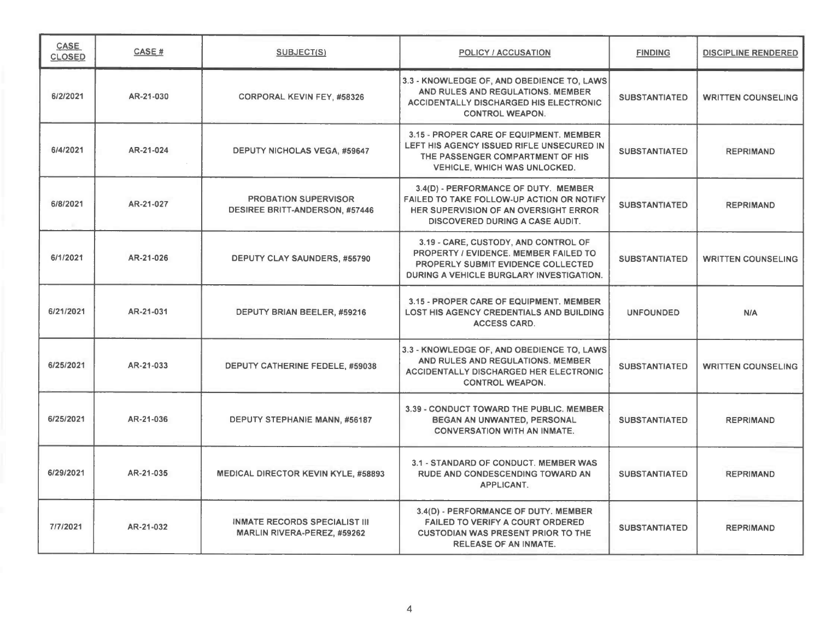| CASE<br><b>CLOSED</b> | <b>CASE#</b> | <b>SUBJECT(S)</b>                                                    | <b>POLICY / ACCUSATION</b>                                                                                                                                           | <b>FINDING</b>       | <b>DISCIPLINE RENDERED</b> |
|-----------------------|--------------|----------------------------------------------------------------------|----------------------------------------------------------------------------------------------------------------------------------------------------------------------|----------------------|----------------------------|
| 6/2/2021              | AR-21-030    | <b>CORPORAL KEVIN FEY, #58326</b>                                    | 3.3 - KNOWLEDGE OF, AND OBEDIENCE TO, LAWS<br>AND RULES AND REGULATIONS. MEMBER<br>ACCIDENTALLY DISCHARGED HIS ELECTRONIC<br><b>CONTROL WEAPON.</b>                  | <b>SUBSTANTIATED</b> | <b>WRITTEN COUNSELING</b>  |
| 6/4/2021              | AR-21-024    | <b>DEPUTY NICHOLAS VEGA, #59647</b>                                  | 3.15 - PROPER CARE OF EQUIPMENT. MEMBER<br>LEFT HIS AGENCY ISSUED RIFLE UNSECURED IN<br>THE PASSENGER COMPARTMENT OF HIS<br><b>VEHICLE, WHICH WAS UNLOCKED.</b>      | <b>SUBSTANTIATED</b> | <b>REPRIMAND</b>           |
| 6/8/2021              | AR-21-027    | <b>PROBATION SUPERVISOR</b><br><b>DESIREE BRITT-ANDERSON, #57446</b> | 3.4(D) - PERFORMANCE OF DUTY. MEMBER<br>FAILED TO TAKE FOLLOW-UP ACTION OR NOTIFY<br>HER SUPERVISION OF AN OVERSIGHT ERROR<br><b>DISCOVERED DURING A CASE AUDIT.</b> | <b>SUBSTANTIATED</b> | <b>REPRIMAND</b>           |
| 6/1/2021              | AR-21-026    | <b>DEPUTY CLAY SAUNDERS, #55790</b>                                  | 3.19 - CARE, CUSTODY, AND CONTROL OF<br>PROPERTY / EVIDENCE. MEMBER FAILED TO<br>PROPERLY SUBMIT EVIDENCE COLLECTED<br>DURING A VEHICLE BURGLARY INVESTIGATION.      | <b>SUBSTANTIATED</b> | <b>WRITTEN COUNSELING</b>  |
| 6/21/2021             | AR-21-031    | DEPUTY BRIAN BEELER, #59216                                          | 3.15 - PROPER CARE OF EQUIPMENT, MEMBER<br><b>LOST HIS AGENCY CREDENTIALS AND BUILDING</b><br><b>ACCESS CARD.</b>                                                    | <b>UNFOUNDED</b>     | N/A                        |
| 6/25/2021             | AR-21-033    | DEPUTY CATHERINE FEDELE, #59038                                      | 3.3 - KNOWLEDGE OF, AND OBEDIENCE TO, LAWS<br>AND RULES AND REGULATIONS. MEMBER<br><b>ACCIDENTALLY DISCHARGED HER ELECTRONIC</b><br><b>CONTROL WEAPON.</b>           | <b>SUBSTANTIATED</b> | <b>WRITTEN COUNSELING</b>  |
| 6/25/2021             | AR-21-036    | DEPUTY STEPHANIE MANN, #56187                                        | 3.39 - CONDUCT TOWARD THE PUBLIC, MEMBER<br>BEGAN AN UNWANTED, PERSONAL<br><b>CONVERSATION WITH AN INMATE.</b>                                                       | <b>SUBSTANTIATED</b> | <b>REPRIMAND</b>           |
| 6/29/2021             | AR-21-035    | <b>MEDICAL DIRECTOR KEVIN KYLE, #58893</b>                           | 3.1 - STANDARD OF CONDUCT. MEMBER WAS<br>RUDE AND CONDESCENDING TOWARD AN<br>APPLICANT.                                                                              | <b>SUBSTANTIATED</b> | <b>REPRIMAND</b>           |
| 7/7/2021              | AR-21-032    | <b>INMATE RECORDS SPECIALIST III</b><br>MARLIN RIVERA-PEREZ, #59262  | 3.4(D) - PERFORMANCE OF DUTY. MEMBER<br><b>FAILED TO VERIFY A COURT ORDERED</b><br><b>CUSTODIAN WAS PRESENT PRIOR TO THE</b><br><b>RELEASE OF AN INMATE.</b>         | <b>SUBSTANTIATED</b> | <b>REPRIMAND</b>           |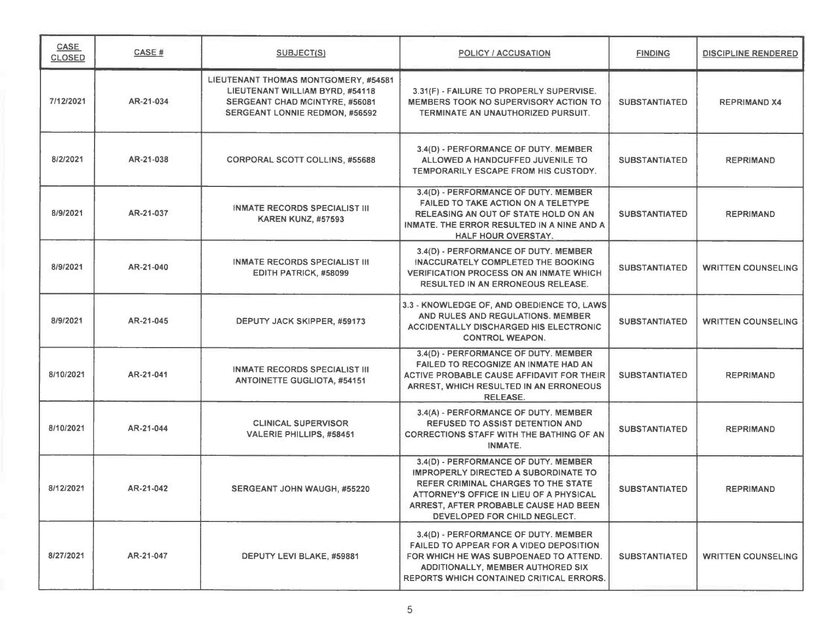| <b>CASE</b><br><b>CLOSED</b> | CASE #    | <b>SUBJECT(S)</b>                                                                                                                                  | <b>POLICY / ACCUSATION</b>                                                                                                                                                                                                              | <b>FINDING</b>       | <b>DISCIPLINE RENDERED</b> |
|------------------------------|-----------|----------------------------------------------------------------------------------------------------------------------------------------------------|-----------------------------------------------------------------------------------------------------------------------------------------------------------------------------------------------------------------------------------------|----------------------|----------------------------|
| 7/12/2021                    | AR-21-034 | LIEUTENANT THOMAS MONTGOMERY, #54581<br>LIEUTENANT WILLIAM BYRD, #54118<br>SERGEANT CHAD MCINTYRE, #56081<br><b>SERGEANT LONNIE REDMON, #56592</b> | 3.31(F) - FAILURE TO PROPERLY SUPERVISE.<br><b>MEMBERS TOOK NO SUPERVISORY ACTION TO</b><br>TERMINATE AN UNAUTHORIZED PURSUIT.                                                                                                          | <b>SUBSTANTIATED</b> | <b>REPRIMAND X4</b>        |
| 8/2/2021                     | AR-21-038 | <b>CORPORAL SCOTT COLLINS, #55688</b>                                                                                                              | 3.4(D) - PERFORMANCE OF DUTY. MEMBER<br>ALLOWED A HANDCUFFED JUVENILE TO<br>TEMPORARILY ESCAPE FROM HIS CUSTODY.                                                                                                                        | <b>SUBSTANTIATED</b> | <b>REPRIMAND</b>           |
| 8/9/2021                     | AR-21-037 | <b>INMATE RECORDS SPECIALIST III</b><br><b>KAREN KUNZ, #57593</b>                                                                                  | 3.4(D) - PERFORMANCE OF DUTY. MEMBER<br>FAILED TO TAKE ACTION ON A TELETYPE<br>RELEASING AN OUT OF STATE HOLD ON AN<br>INMATE. THE ERROR RESULTED IN A NINE AND A<br><b>HALF HOUR OVERSTAY.</b>                                         | <b>SUBSTANTIATED</b> | <b>REPRIMAND</b>           |
| 8/9/2021                     | AR-21-040 | <b>INMATE RECORDS SPECIALIST III</b><br>EDITH PATRICK, #58099                                                                                      | 3.4(D) - PERFORMANCE OF DUTY. MEMBER<br>INACCURATELY COMPLETED THE BOOKING<br><b>VERIFICATION PROCESS ON AN INMATE WHICH</b><br><b>RESULTED IN AN ERRONEOUS RELEASE.</b>                                                                | <b>SUBSTANTIATED</b> | <b>WRITTEN COUNSELING</b>  |
| 8/9/2021                     | AR-21-045 | DEPUTY JACK SKIPPER, #59173                                                                                                                        | 3.3 - KNOWLEDGE OF, AND OBEDIENCE TO, LAWS<br>AND RULES AND REGULATIONS. MEMBER<br><b>ACCIDENTALLY DISCHARGED HIS ELECTRONIC</b><br><b>CONTROL WEAPON.</b>                                                                              | <b>SUBSTANTIATED</b> | <b>WRITTEN COUNSELING</b>  |
| 8/10/2021                    | AR-21-041 | <b>INMATE RECORDS SPECIALIST III</b><br><b>ANTOINETTE GUGLIOTA, #54151</b>                                                                         | 3.4(D) - PERFORMANCE OF DUTY. MEMBER<br>FAILED TO RECOGNIZE AN INMATE HAD AN<br>ACTIVE PROBABLE CAUSE AFFIDAVIT FOR THEIR<br>ARREST, WHICH RESULTED IN AN ERRONEOUS<br><b>RELEASE.</b>                                                  | <b>SUBSTANTIATED</b> | <b>REPRIMAND</b>           |
| 8/10/2021                    | AR-21-044 | <b>CLINICAL SUPERVISOR</b><br>VALERIE PHILLIPS, #58451                                                                                             | 3.4(A) - PERFORMANCE OF DUTY. MEMBER<br><b>REFUSED TO ASSIST DETENTION AND</b><br><b>CORRECTIONS STAFF WITH THE BATHING OF AN</b><br><b>INMATE.</b>                                                                                     | <b>SUBSTANTIATED</b> | <b>REPRIMAND</b>           |
| 8/12/2021                    | AR-21-042 | SERGEANT JOHN WAUGH, #55220                                                                                                                        | 3.4(D) - PERFORMANCE OF DUTY. MEMBER<br>IMPROPERLY DIRECTED A SUBORDINATE TO<br>REFER CRIMINAL CHARGES TO THE STATE<br>ATTORNEY'S OFFICE IN LIEU OF A PHYSICAL<br>ARREST, AFTER PROBABLE CAUSE HAD BEEN<br>DEVELOPED FOR CHILD NEGLECT. | <b>SUBSTANTIATED</b> | <b>REPRIMAND</b>           |
| 8/27/2021                    | AR-21-047 | DEPUTY LEVI BLAKE, #59881                                                                                                                          | 3.4(D) - PERFORMANCE OF DUTY. MEMBER<br>FAILED TO APPEAR FOR A VIDEO DEPOSITION<br>FOR WHICH HE WAS SUBPOENAED TO ATTEND.<br>ADDITIONALLY, MEMBER AUTHORED SIX<br><b>REPORTS WHICH CONTAINED CRITICAL ERRORS.</b>                       | <b>SUBSTANTIATED</b> | <b>WRITTEN COUNSELING</b>  |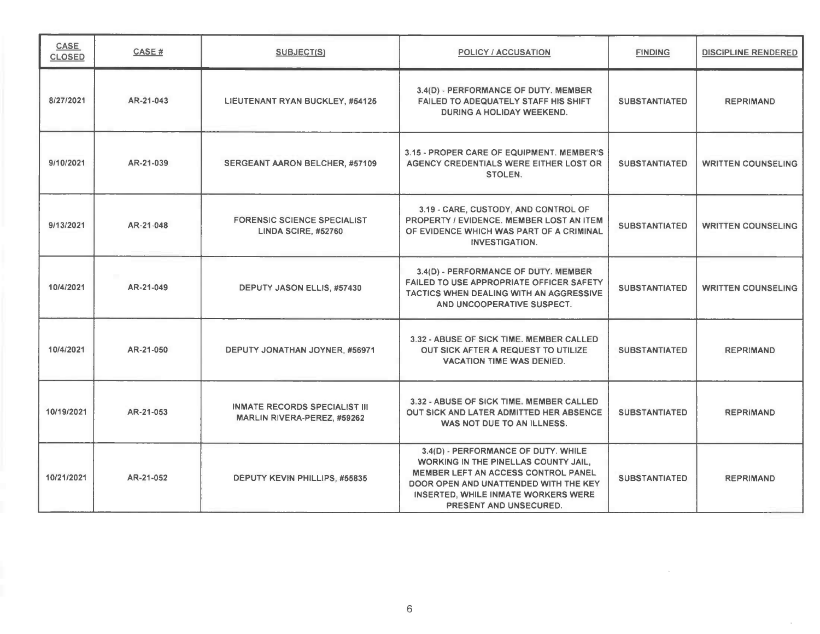| <b>CASE</b><br><b>CLOSED</b> | CASE#     | <b>SUBJECT(S)</b>                                                   | <b>POLICY / ACCUSATION</b>                                                                                                                                                                                                                 | <b>FINDING</b>       | <b>DISCIPLINE RENDERED</b> |
|------------------------------|-----------|---------------------------------------------------------------------|--------------------------------------------------------------------------------------------------------------------------------------------------------------------------------------------------------------------------------------------|----------------------|----------------------------|
| 8/27/2021                    | AR-21-043 | <b>LIEUTENANT RYAN BUCKLEY, #54125</b>                              | 3.4(D) - PERFORMANCE OF DUTY. MEMBER<br>FAILED TO ADEQUATELY STAFF HIS SHIFT<br><b>DURING A HOLIDAY WEEKEND.</b>                                                                                                                           | <b>SUBSTANTIATED</b> | <b>REPRIMAND</b>           |
| 9/10/2021                    | AR-21-039 | <b>SERGEANT AARON BELCHER, #57109</b>                               | 3.15 - PROPER CARE OF EQUIPMENT. MEMBER'S<br>AGENCY CREDENTIALS WERE EITHER LOST OR<br><b>STOLEN.</b>                                                                                                                                      | <b>SUBSTANTIATED</b> | <b>WRITTEN COUNSELING</b>  |
| 9/13/2021                    | AR-21-048 | <b>FORENSIC SCIENCE SPECIALIST</b><br><b>LINDA SCIRE, #52760</b>    | 3.19 - CARE, CUSTODY, AND CONTROL OF<br>PROPERTY / EVIDENCE, MEMBER LOST AN ITEM<br>OF EVIDENCE WHICH WAS PART OF A CRIMINAL<br><b>INVESTIGATION.</b>                                                                                      | <b>SUBSTANTIATED</b> | <b>WRITTEN COUNSELING</b>  |
| 10/4/2021                    | AR-21-049 | DEPUTY JASON ELLIS, #57430                                          | 3.4(D) - PERFORMANCE OF DUTY. MEMBER<br><b>FAILED TO USE APPROPRIATE OFFICER SAFETY</b><br><b>TACTICS WHEN DEALING WITH AN AGGRESSIVE</b><br>AND UNCOOPERATIVE SUSPECT.                                                                    | <b>SUBSTANTIATED</b> | <b>WRITTEN COUNSELING</b>  |
| 10/4/2021                    | AR-21-050 | DEPUTY JONATHAN JOYNER, #56971                                      | 3.32 - ABUSE OF SICK TIME. MEMBER CALLED<br>OUT SICK AFTER A REQUEST TO UTILIZE<br><b>VACATION TIME WAS DENIED.</b>                                                                                                                        | <b>SUBSTANTIATED</b> | <b>REPRIMAND</b>           |
| 10/19/2021                   | AR-21-053 | <b>INMATE RECORDS SPECIALIST III</b><br>MARLIN RIVERA-PEREZ, #59262 | 3.32 - ABUSE OF SICK TIME. MEMBER CALLED<br>OUT SICK AND LATER ADMITTED HER ABSENCE<br>WAS NOT DUE TO AN ILLNESS.                                                                                                                          | <b>SUBSTANTIATED</b> | <b>REPRIMAND</b>           |
| 10/21/2021                   | AR-21-052 | DEPUTY KEVIN PHILLIPS, #55835                                       | 3.4(D) - PERFORMANCE OF DUTY. WHILE<br><b>WORKING IN THE PINELLAS COUNTY JAIL.</b><br><b>MEMBER LEFT AN ACCESS CONTROL PANEL</b><br>DOOR OPEN AND UNATTENDED WITH THE KEY<br>INSERTED, WHILE INMATE WORKERS WERE<br>PRESENT AND UNSECURED. | <b>SUBSTANTIATED</b> | <b>REPRIMAND</b>           |